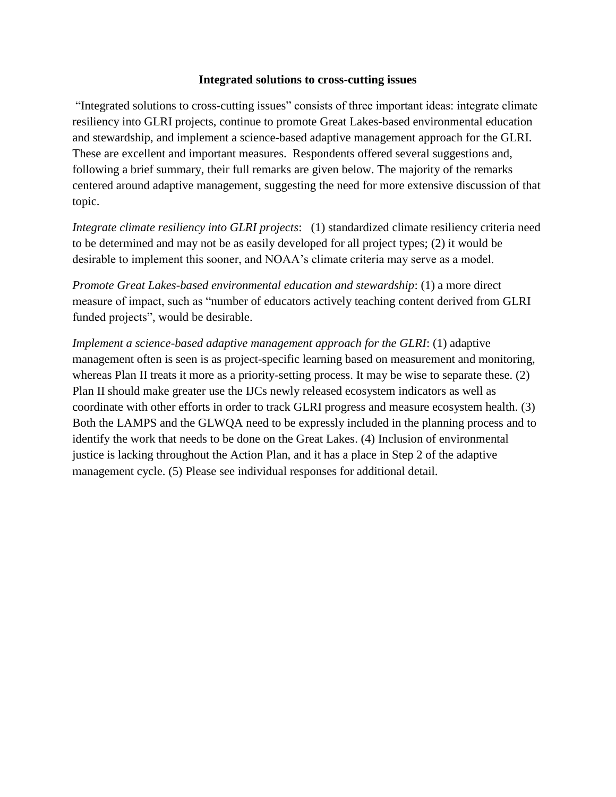#### **Integrated solutions to cross-cutting issues**

"Integrated solutions to cross-cutting issues" consists of three important ideas: integrate climate resiliency into GLRI projects, continue to promote Great Lakes-based environmental education and stewardship, and implement a science-based adaptive management approach for the GLRI. These are excellent and important measures. Respondents offered several suggestions and, following a brief summary, their full remarks are given below. The majority of the remarks centered around adaptive management, suggesting the need for more extensive discussion of that topic.

*Integrate climate resiliency into GLRI projects*: (1) standardized climate resiliency criteria need to be determined and may not be as easily developed for all project types; (2) it would be desirable to implement this sooner, and NOAA's climate criteria may serve as a model.

*Promote Great Lakes-based environmental education and stewardship*: (1) a more direct measure of impact, such as "number of educators actively teaching content derived from GLRI funded projects", would be desirable.

*Implement a science-based adaptive management approach for the GLRI*: (1) adaptive management often is seen is as project-specific learning based on measurement and monitoring, whereas Plan II treats it more as a priority-setting process. It may be wise to separate these. (2) Plan II should make greater use the IJCs newly released ecosystem indicators as well as coordinate with other efforts in order to track GLRI progress and measure ecosystem health. (3) Both the LAMPS and the GLWQA need to be expressly included in the planning process and to identify the work that needs to be done on the Great Lakes. (4) Inclusion of environmental justice is lacking throughout the Action Plan, and it has a place in Step 2 of the adaptive management cycle. (5) Please see individual responses for additional detail.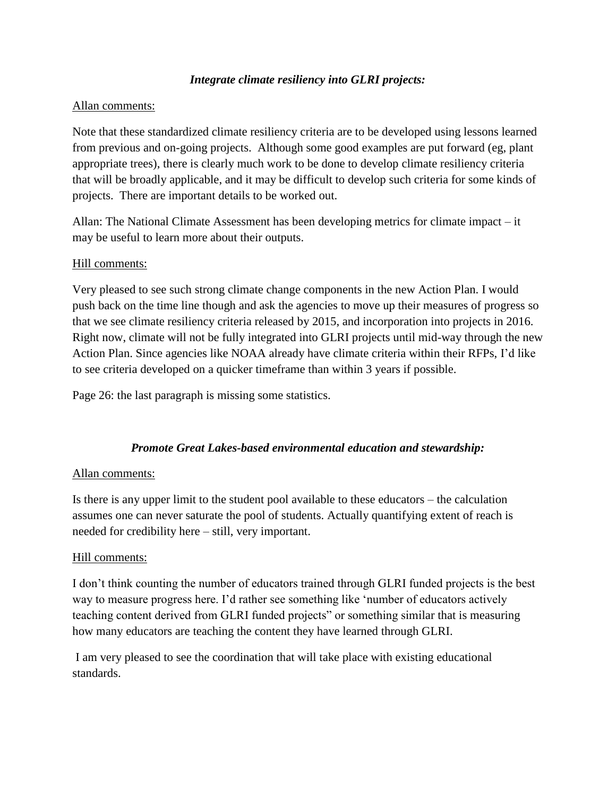# *Integrate climate resiliency into GLRI projects:*

### Allan comments:

Note that these standardized climate resiliency criteria are to be developed using lessons learned from previous and on-going projects. Although some good examples are put forward (eg, plant appropriate trees), there is clearly much work to be done to develop climate resiliency criteria that will be broadly applicable, and it may be difficult to develop such criteria for some kinds of projects. There are important details to be worked out.

Allan: The National Climate Assessment has been developing metrics for climate impact – it may be useful to learn more about their outputs.

#### Hill comments:

Very pleased to see such strong climate change components in the new Action Plan. I would push back on the time line though and ask the agencies to move up their measures of progress so that we see climate resiliency criteria released by 2015, and incorporation into projects in 2016. Right now, climate will not be fully integrated into GLRI projects until mid-way through the new Action Plan. Since agencies like NOAA already have climate criteria within their RFPs, I'd like to see criteria developed on a quicker timeframe than within 3 years if possible.

Page 26: the last paragraph is missing some statistics.

# *Promote Great Lakes-based environmental education and stewardship:*

#### Allan comments:

Is there is any upper limit to the student pool available to these educators – the calculation assumes one can never saturate the pool of students. Actually quantifying extent of reach is needed for credibility here – still, very important.

# Hill comments:

I don't think counting the number of educators trained through GLRI funded projects is the best way to measure progress here. I'd rather see something like 'number of educators actively teaching content derived from GLRI funded projects" or something similar that is measuring how many educators are teaching the content they have learned through GLRI.

I am very pleased to see the coordination that will take place with existing educational standards.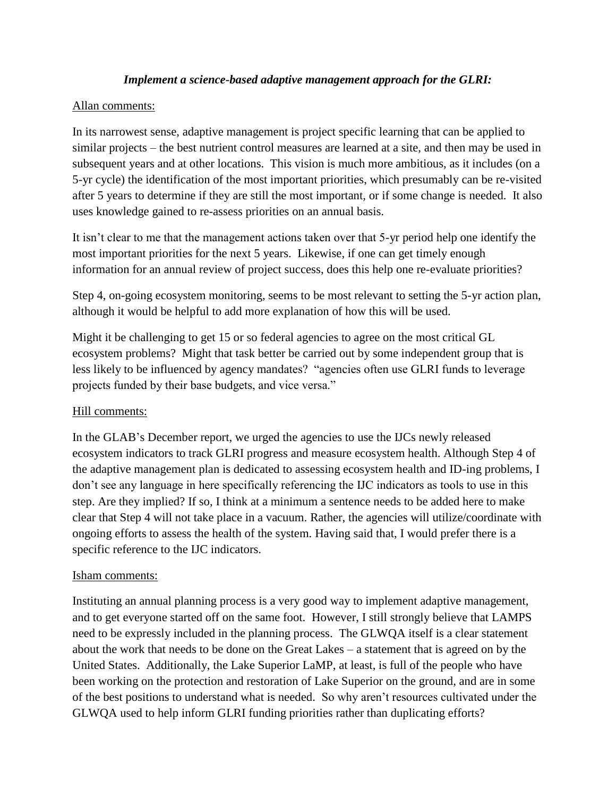# *Implement a science-based adaptive management approach for the GLRI:*

#### Allan comments:

In its narrowest sense, adaptive management is project specific learning that can be applied to similar projects – the best nutrient control measures are learned at a site, and then may be used in subsequent years and at other locations. This vision is much more ambitious, as it includes (on a 5-yr cycle) the identification of the most important priorities, which presumably can be re-visited after 5 years to determine if they are still the most important, or if some change is needed. It also uses knowledge gained to re-assess priorities on an annual basis.

It isn't clear to me that the management actions taken over that 5-yr period help one identify the most important priorities for the next 5 years. Likewise, if one can get timely enough information for an annual review of project success, does this help one re-evaluate priorities?

Step 4, on-going ecosystem monitoring, seems to be most relevant to setting the 5-yr action plan, although it would be helpful to add more explanation of how this will be used.

Might it be challenging to get 15 or so federal agencies to agree on the most critical GL ecosystem problems? Might that task better be carried out by some independent group that is less likely to be influenced by agency mandates? "agencies often use GLRI funds to leverage projects funded by their base budgets, and vice versa."

# Hill comments:

In the GLAB's December report, we urged the agencies to use the IJCs newly released ecosystem indicators to track GLRI progress and measure ecosystem health. Although Step 4 of the adaptive management plan is dedicated to assessing ecosystem health and ID-ing problems, I don't see any language in here specifically referencing the IJC indicators as tools to use in this step. Are they implied? If so, I think at a minimum a sentence needs to be added here to make clear that Step 4 will not take place in a vacuum. Rather, the agencies will utilize/coordinate with ongoing efforts to assess the health of the system. Having said that, I would prefer there is a specific reference to the IJC indicators.

#### Isham comments:

Instituting an annual planning process is a very good way to implement adaptive management, and to get everyone started off on the same foot. However, I still strongly believe that LAMPS need to be expressly included in the planning process. The GLWQA itself is a clear statement about the work that needs to be done on the Great Lakes – a statement that is agreed on by the United States. Additionally, the Lake Superior LaMP, at least, is full of the people who have been working on the protection and restoration of Lake Superior on the ground, and are in some of the best positions to understand what is needed. So why aren't resources cultivated under the GLWQA used to help inform GLRI funding priorities rather than duplicating efforts?